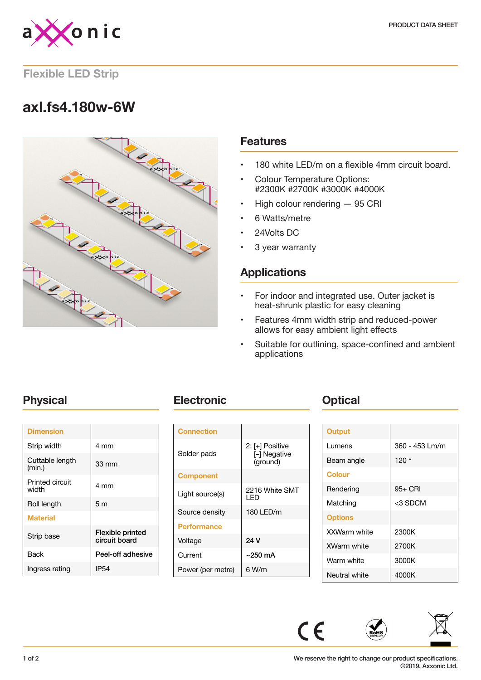

### **Flexible LED Strip**

# **axl.fs4.180w-6W**



### **Features**

- 180 white LED/m on a flexible 4mm circuit board.
- Colour Temperature Options: #2300K #2700K #3000K #4000K
- High colour rendering 95 CRI
- 6 Watts/metre
- 24Volts DC
- 3 year warranty

### **Applications**

- For indoor and integrated use. Outer jacket is heat-shrunk plastic for easy cleaning
- Features 4mm width strip and reduced-power allows for easy ambient light effects
- Suitable for outlining, space-confined and ambient applications

| <b>Dimension</b>          |                                          |
|---------------------------|------------------------------------------|
| Strip width               | 4 mm                                     |
| Cuttable length<br>(min.) | 33 mm                                    |
| Printed circuit<br>width  | 4 mm                                     |
| Roll length               | 5 <sub>m</sub>                           |
| <b>Material</b>           |                                          |
| Strip base                | <b>Flexible printed</b><br>circuit board |
| <b>Back</b>               | Peel-off adhesive                        |
| Ingress rating            | IP54                                     |

## **Physical <b>Electronic Change Physical**

| <b>Connection</b>  |                                           |
|--------------------|-------------------------------------------|
| Solder pads        | 2: [+] Positive<br>- Negative<br>(ground) |
| <b>Component</b>   |                                           |
| Light source(s)    | 2216 White SMT<br>I FD                    |
| Source density     | 180 LED/m                                 |
| <b>Performance</b> |                                           |
| Voltage            | 24 V                                      |
| Current            | ~250 mA                                   |
| Power (per metre)  | 6 W/m                                     |

| Output         |                |
|----------------|----------------|
| Lumens         | 360 - 453 Lm/m |
| Beam angle     | 120°           |
| <b>Colour</b>  |                |
| Rendering      | 95+ CRI        |
| Matching       | <3 SDCM        |
| <b>Options</b> |                |
| XXWarm white   | 2300K          |
| XWarm white    | 2700K          |
| Warm white     | 3000K          |
| Neutral white  | 4000K          |



 $\epsilon$